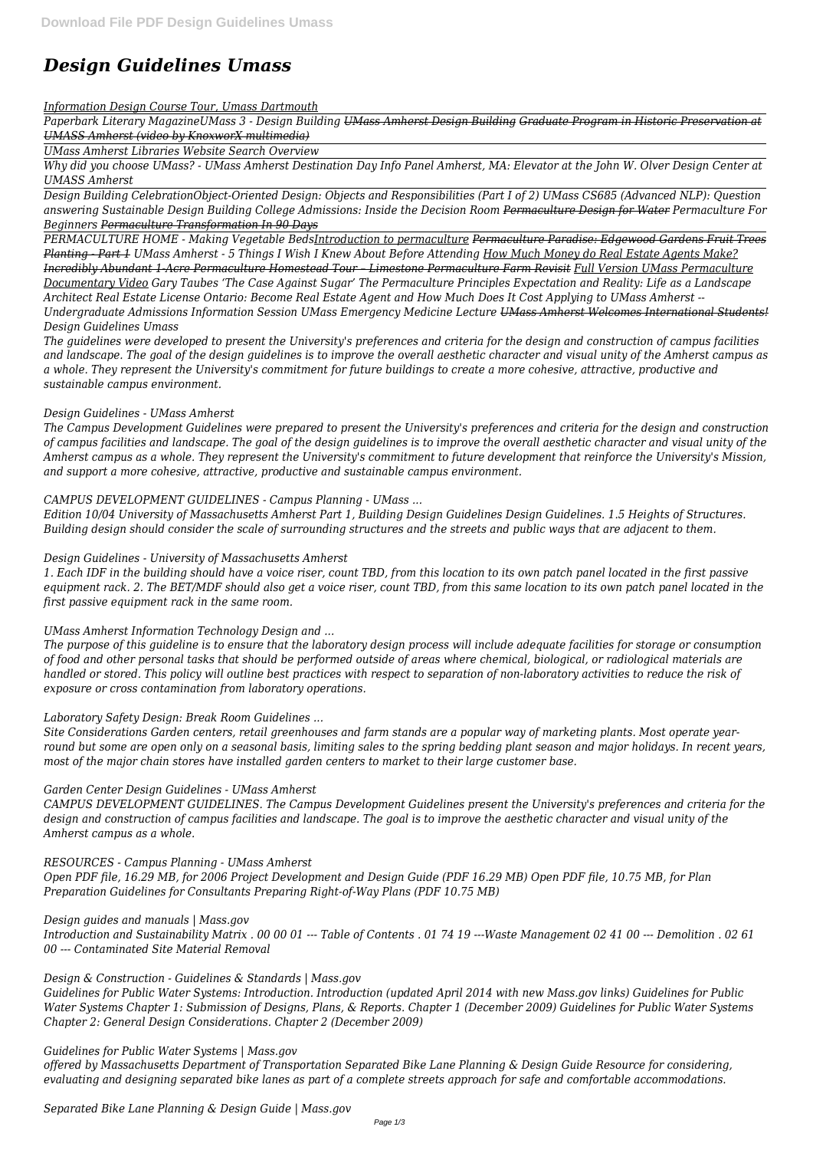# *Design Guidelines Umass*

#### *Information Design Course Tour, Umass Dartmouth*

*Paperbark Literary MagazineUMass 3 - Design Building UMass Amherst Design Building Graduate Program in Historic Preservation at UMASS Amherst (video by KnoxworX multimedia)*

*UMass Amherst Libraries Website Search Overview*

*Why did you choose UMass? - UMass Amherst Destination Day Info Panel Amherst, MA: Elevator at the John W. Olver Design Center at UMASS Amherst* 

*Design Building CelebrationObject-Oriented Design: Objects and Responsibilities (Part I of 2) UMass CS685 (Advanced NLP): Question answering Sustainable Design Building College Admissions: Inside the Decision Room Permaculture Design for Water Permaculture For Beginners Permaculture Transformation In 90 Days*

*PERMACULTURE HOME - Making Vegetable BedsIntroduction to permaculture Permaculture Paradise: Edgewood Gardens Fruit Trees Planting - Part 1 UMass Amherst - 5 Things I Wish I Knew About Before Attending How Much Money do Real Estate Agents Make? Incredibly Abundant 1-Acre Permaculture Homestead Tour – Limestone Permaculture Farm Revisit Full Version UMass Permaculture Documentary Video Gary Taubes 'The Case Against Sugar' The Permaculture Principles Expectation and Reality: Life as a Landscape Architect Real Estate License Ontario: Become Real Estate Agent and How Much Does It Cost Applying to UMass Amherst -- Undergraduate Admissions Information Session UMass Emergency Medicine Lecture UMass Amherst Welcomes International Students! Design Guidelines Umass*

*The guidelines were developed to present the University's preferences and criteria for the design and construction of campus facilities and landscape. The goal of the design guidelines is to improve the overall aesthetic character and visual unity of the Amherst campus as a whole. They represent the University's commitment for future buildings to create a more cohesive, attractive, productive and sustainable campus environment.*

## *Design Guidelines - UMass Amherst*

*The Campus Development Guidelines were prepared to present the University's preferences and criteria for the design and construction of campus facilities and landscape. The goal of the design guidelines is to improve the overall aesthetic character and visual unity of the Amherst campus as a whole. They represent the University's commitment to future development that reinforce the University's Mission, and support a more cohesive, attractive, productive and sustainable campus environment.*

## *CAMPUS DEVELOPMENT GUIDELINES - Campus Planning - UMass ...*

*Edition 10/04 University of Massachusetts Amherst Part 1, Building Design Guidelines Design Guidelines. 1.5 Heights of Structures. Building design should consider the scale of surrounding structures and the streets and public ways that are adjacent to them.*

## *Design Guidelines - University of Massachusetts Amherst*

*1. Each IDF in the building should have a voice riser, count TBD, from this location to its own patch panel located in the first passive equipment rack. 2. The BET/MDF should also get a voice riser, count TBD, from this same location to its own patch panel located in the first passive equipment rack in the same room.*

## *UMass Amherst Information Technology Design and ...*

*The purpose of this guideline is to ensure that the laboratory design process will include adequate facilities for storage or consumption of food and other personal tasks that should be performed outside of areas where chemical, biological, or radiological materials are handled or stored. This policy will outline best practices with respect to separation of non-laboratory activities to reduce the risk of exposure or cross contamination from laboratory operations.*

## *Laboratory Safety Design: Break Room Guidelines ...*

*Site Considerations Garden centers, retail greenhouses and farm stands are a popular way of marketing plants. Most operate yearround but some are open only on a seasonal basis, limiting sales to the spring bedding plant season and major holidays. In recent years, most of the major chain stores have installed garden centers to market to their large customer base.*

## *Garden Center Design Guidelines - UMass Amherst*

*CAMPUS DEVELOPMENT GUIDELINES. The Campus Development Guidelines present the University's preferences and criteria for the design and construction of campus facilities and landscape. The goal is to improve the aesthetic character and visual unity of the Amherst campus as a whole.*

#### *RESOURCES - Campus Planning - UMass Amherst*

*Open PDF file, 16.29 MB, for 2006 Project Development and Design Guide (PDF 16.29 MB) Open PDF file, 10.75 MB, for Plan Preparation Guidelines for Consultants Preparing Right-of-Way Plans (PDF 10.75 MB)*

*Design guides and manuals | Mass.gov Introduction and Sustainability Matrix . 00 00 01 --- Table of Contents . 01 74 19 ---Waste Management 02 41 00 --- Demolition . 02 61 00 --- Contaminated Site Material Removal*

*Design & Construction - Guidelines & Standards | Mass.gov*

*Guidelines for Public Water Systems: Introduction. Introduction (updated April 2014 with new Mass.gov links) Guidelines for Public Water Systems Chapter 1: Submission of Designs, Plans, & Reports. Chapter 1 (December 2009) Guidelines for Public Water Systems Chapter 2: General Design Considerations. Chapter 2 (December 2009)*

*Guidelines for Public Water Systems | Mass.gov*

*offered by Massachusetts Department of Transportation Separated Bike Lane Planning & Design Guide Resource for considering, evaluating and designing separated bike lanes as part of a complete streets approach for safe and comfortable accommodations.*

*Separated Bike Lane Planning & Design Guide | Mass.gov*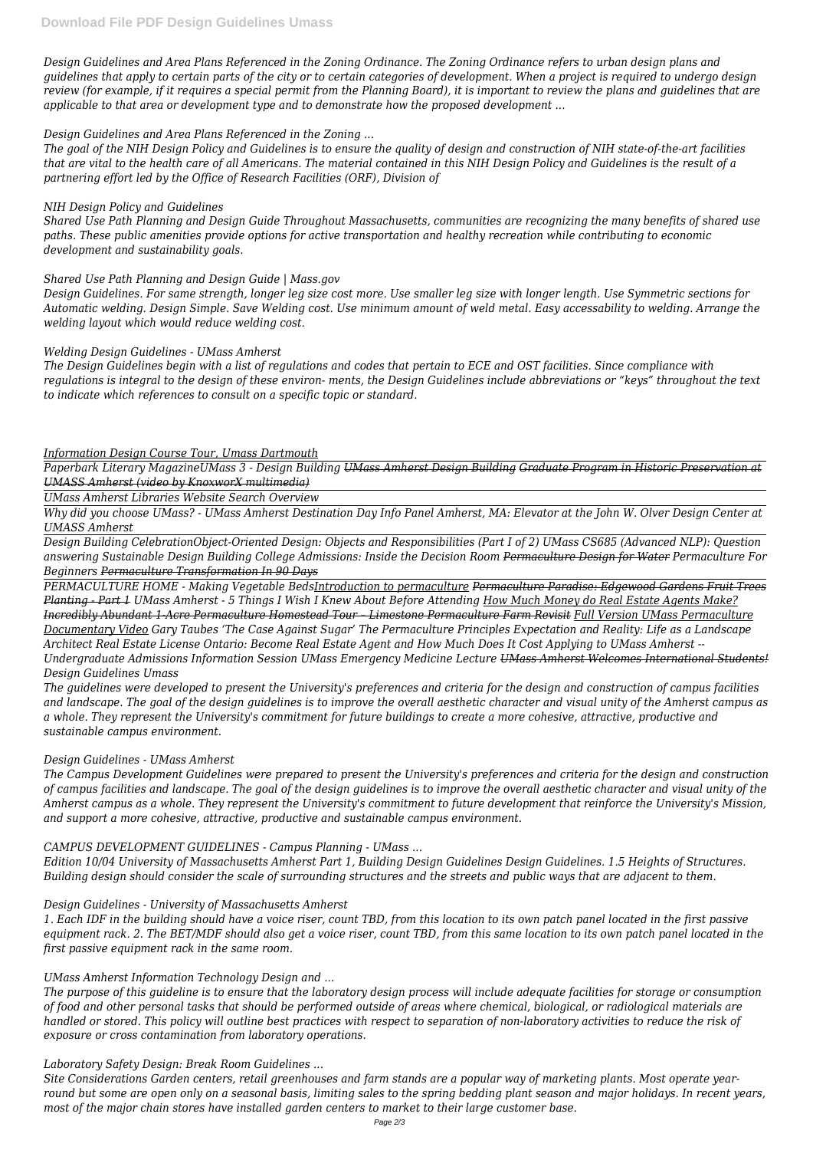*Design Guidelines and Area Plans Referenced in the Zoning Ordinance. The Zoning Ordinance refers to urban design plans and guidelines that apply to certain parts of the city or to certain categories of development. When a project is required to undergo design review (for example, if it requires a special permit from the Planning Board), it is important to review the plans and guidelines that are applicable to that area or development type and to demonstrate how the proposed development ...*

## *Design Guidelines and Area Plans Referenced in the Zoning ...*

*The goal of the NIH Design Policy and Guidelines is to ensure the quality of design and construction of NIH state-of-the-art facilities that are vital to the health care of all Americans. The material contained in this NIH Design Policy and Guidelines is the result of a partnering effort led by the Office of Research Facilities (ORF), Division of*

## *NIH Design Policy and Guidelines*

*Shared Use Path Planning and Design Guide Throughout Massachusetts, communities are recognizing the many benefits of shared use paths. These public amenities provide options for active transportation and healthy recreation while contributing to economic development and sustainability goals.*

## *Shared Use Path Planning and Design Guide | Mass.gov*

*Design Guidelines. For same strength, longer leg size cost more. Use smaller leg size with longer length. Use Symmetric sections for Automatic welding. Design Simple. Save Welding cost. Use minimum amount of weld metal. Easy accessability to welding. Arrange the welding layout which would reduce welding cost.*

## *Welding Design Guidelines - UMass Amherst*

*The Design Guidelines begin with a list of regulations and codes that pertain to ECE and OST facilities. Since compliance with regulations is integral to the design of these environ- ments, the Design Guidelines include abbreviations or "keys" throughout the text to indicate which references to consult on a specific topic or standard.*

## *Information Design Course Tour, Umass Dartmouth*

*Paperbark Literary MagazineUMass 3 - Design Building UMass Amherst Design Building Graduate Program in Historic Preservation at UMASS Amherst (video by KnoxworX multimedia)*

*UMass Amherst Libraries Website Search Overview*

*Why did you choose UMass? - UMass Amherst Destination Day Info Panel Amherst, MA: Elevator at the John W. Olver Design Center at UMASS Amherst* 

*Design Building CelebrationObject-Oriented Design: Objects and Responsibilities (Part I of 2) UMass CS685 (Advanced NLP): Question answering Sustainable Design Building College Admissions: Inside the Decision Room Permaculture Design for Water Permaculture For Beginners Permaculture Transformation In 90 Days*

*PERMACULTURE HOME - Making Vegetable BedsIntroduction to permaculture Permaculture Paradise: Edgewood Gardens Fruit Trees Planting - Part 1 UMass Amherst - 5 Things I Wish I Knew About Before Attending How Much Money do Real Estate Agents Make? Incredibly Abundant 1-Acre Permaculture Homestead Tour – Limestone Permaculture Farm Revisit Full Version UMass Permaculture Documentary Video Gary Taubes 'The Case Against Sugar' The Permaculture Principles Expectation and Reality: Life as a Landscape Architect Real Estate License Ontario: Become Real Estate Agent and How Much Does It Cost Applying to UMass Amherst -- Undergraduate Admissions Information Session UMass Emergency Medicine Lecture UMass Amherst Welcomes International Students! Design Guidelines Umass*

*The guidelines were developed to present the University's preferences and criteria for the design and construction of campus facilities and landscape. The goal of the design guidelines is to improve the overall aesthetic character and visual unity of the Amherst campus as a whole. They represent the University's commitment for future buildings to create a more cohesive, attractive, productive and sustainable campus environment.*

## *Design Guidelines - UMass Amherst*

*The Campus Development Guidelines were prepared to present the University's preferences and criteria for the design and construction of campus facilities and landscape. The goal of the design guidelines is to improve the overall aesthetic character and visual unity of the Amherst campus as a whole. They represent the University's commitment to future development that reinforce the University's Mission, and support a more cohesive, attractive, productive and sustainable campus environment.*

# *CAMPUS DEVELOPMENT GUIDELINES - Campus Planning - UMass ...*

*Edition 10/04 University of Massachusetts Amherst Part 1, Building Design Guidelines Design Guidelines. 1.5 Heights of Structures.*

*Building design should consider the scale of surrounding structures and the streets and public ways that are adjacent to them.*

#### *Design Guidelines - University of Massachusetts Amherst*

*1. Each IDF in the building should have a voice riser, count TBD, from this location to its own patch panel located in the first passive equipment rack. 2. The BET/MDF should also get a voice riser, count TBD, from this same location to its own patch panel located in the first passive equipment rack in the same room.*

*UMass Amherst Information Technology Design and ...*

*The purpose of this guideline is to ensure that the laboratory design process will include adequate facilities for storage or consumption of food and other personal tasks that should be performed outside of areas where chemical, biological, or radiological materials are handled or stored. This policy will outline best practices with respect to separation of non-laboratory activities to reduce the risk of exposure or cross contamination from laboratory operations.*

#### *Laboratory Safety Design: Break Room Guidelines ...*

*Site Considerations Garden centers, retail greenhouses and farm stands are a popular way of marketing plants. Most operate yearround but some are open only on a seasonal basis, limiting sales to the spring bedding plant season and major holidays. In recent years, most of the major chain stores have installed garden centers to market to their large customer base.*